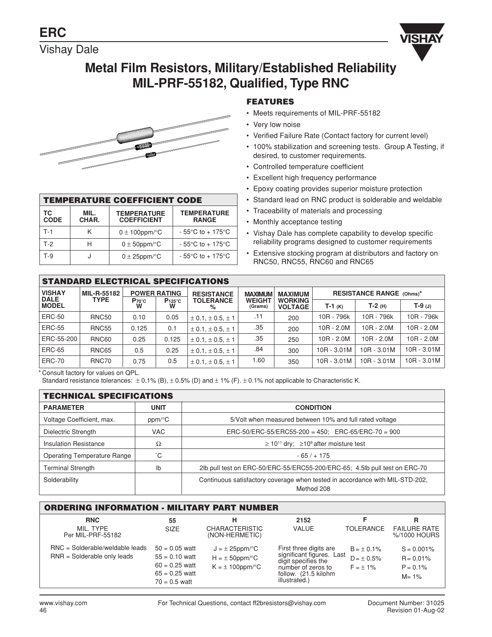Vishay Dale



# **Metal Film Resistors, Military/Established Reliability MIL-PRF-55182, Qualified, Type RNC**



| <b>TEMPERATURE COEFFICIENT CODE</b> |               |                                          |                                     |  |  |
|-------------------------------------|---------------|------------------------------------------|-------------------------------------|--|--|
| ТC<br><b>CODE</b>                   | MIL.<br>CHAR. | <b>TEMPERATURE</b><br><b>COEFFICIENT</b> | <b>TEMPERATURE</b><br><b>RANGE</b>  |  |  |
| $T-1$                               | κ             | $0 \pm 100$ ppm/ $\degree$ C             | $-55^{\circ}$ C to $+175^{\circ}$ C |  |  |
| T-2                                 | н             | $0 \pm 50$ ppm/ $\degree$ C              | $-55^{\circ}$ C to $+175^{\circ}$ C |  |  |
| T-9                                 | J             | $0 \pm 25$ ppm/ $\degree$ C              | $-55^{\circ}$ C to $+175^{\circ}$ C |  |  |

# **FEATURES**

- Meets requirements of MIL-PRF-55182
- Very low noise
- Verified Failure Rate (Contact factory for current level)
- 100% stabilization and screening tests. Group A Testing, if desired, to customer requirements.
- Controlled temperature coefficient
- Excellent high frequency performance
- Epoxy coating provides superior moisture protection
- Standard lead on RNC product is solderable and weldable
- Traceability of materials and processing
- Monthly acceptance testing
- Vishay Dale has complete capability to develop specific reliability programs designed to customer requirements
- Extensive stocking program at distributors and factory on RNC50, RNC55, RNC60 and RNC65

| <b>STANDARD ELECTRICAL SPECIFICATIONS</b> |                   |                        |                          |                               |                          |                                  |                                 |               |               |
|-------------------------------------------|-------------------|------------------------|--------------------------|-------------------------------|--------------------------|----------------------------------|---------------------------------|---------------|---------------|
| <b>VISHAY</b>                             | MIL-R-55182       | <b>POWER RATING</b>    |                          | <b>RESISTANCE</b>             | <b>MAXIMUM</b>           | <b>MAXIMUM</b>                   | <b>RESISTANCE RANGE (Ohms)*</b> |               |               |
| <b>DALE</b><br><b>MODEL</b>               | <b>TYPE</b>       | $P_{70}^{\circ}c$<br>w | $P_{125}^{\circ}$ c<br>W | <b>TOLERANCE</b><br>℅         | <b>WEIGHT</b><br>(Grams) | <b>WORKING</b><br><b>VOLTAGE</b> | $T-1$ (K)                       | $T-2$ (H)     | $T-9$ (J)     |
| <b>ERC-50</b>                             | RNC <sub>50</sub> | 0.10                   | 0.05                     | $\pm$ 0.1, $\pm$ 0.5, $\pm$ 1 | .11                      | 200                              | 10R - 796k                      | 10R - 796k    | 10R - 796k    |
| <b>ERC-55</b>                             | <b>RNC55</b>      | 0.125                  | 0.1                      | $\pm$ 0.1, $\pm$ 0.5, $\pm$ 1 | .35                      | 200                              | $10R - 2.0M$                    | $10R - 2.0M$  | $10R - 2.0M$  |
| ERC-55-200                                | <b>RNC60</b>      | 0.25                   | 0.125                    | $\pm$ 0.1, $\pm$ 0.5, $\pm$ 1 | .35                      | 250                              | $10R - 2.0M$                    | 10R - 2.0M    | 10R - 2.0M    |
| <b>ERC-65</b>                             | <b>RNC65</b>      | 0.5                    | 0.25                     | $\pm$ 0.1, $\pm$ 0.5, $\pm$ 1 | .84                      | 300                              | $10R - 3.01M$                   | $10R - 3.01M$ | $10R - 3.01M$ |
| <b>ERC-70</b>                             | RNC70             | 0.75                   | 0.5                      | $\pm$ 0.1, $\pm$ 0.5, $\pm$ 1 | 1.60                     | 350                              | $10R - 3.01M$                   | $10R - 3.01M$ | $10R - 3.01M$ |

\* Consult factory for values on QPL.

Standard resistance tolerances:  $\pm$  0.1% (B),  $\pm$  0.5% (D) and  $\pm$  1% (F).  $\pm$  0.1% not applicable to Characteristic K.

| <b>TECHNICAL SPECIFICATIONS</b>     |             |                                                                                            |  |  |  |
|-------------------------------------|-------------|--------------------------------------------------------------------------------------------|--|--|--|
| <b>PARAMETER</b>                    | <b>UNIT</b> | <b>CONDITION</b>                                                                           |  |  |  |
| Voltage Coefficient, max.<br>ppm/°C |             | 5/Volt when measured between 10% and full rated voltage                                    |  |  |  |
| Dielectric Strength                 | <b>VAC</b>  | $ERC-50/ERC-55/ERC55-200 = 450$ ; $ERC-65/ERC-70 = 900$                                    |  |  |  |
| Insulation Resistance               | Ω           | $\geq 10^{11}$ dry; $\geq 10^{9}$ after moisture test                                      |  |  |  |
| <b>Operating Temperature Range</b>  | °С          | $-65/ + 175$                                                                               |  |  |  |
| <b>Terminal Strength</b>            | lb          | 2lb pull test on ERC-50/ERC-55/ERC55-200/ERC-65; 4.5lb pull test on ERC-70                 |  |  |  |
| Solderability                       |             | Continuous satisfactory coverage when tested in accordance with MIL-STD-202,<br>Method 208 |  |  |  |

| <b>ORDERING INFORMATION - MILITARY PART NUMBER</b>                 |                                                                                                 |                                                                                                  |                                                                                                                                           |                                                     |                                                           |  |
|--------------------------------------------------------------------|-------------------------------------------------------------------------------------------------|--------------------------------------------------------------------------------------------------|-------------------------------------------------------------------------------------------------------------------------------------------|-----------------------------------------------------|-----------------------------------------------------------|--|
| <b>RNC</b><br>MIL. TYPE<br>Per MIL-PRF-55182                       | 55<br>SIZE                                                                                      | н<br><b>CHARACTERISTIC</b><br>(NON-HERMETIC)                                                     | 2152<br>VALUE                                                                                                                             | F<br><b>TOLERANCE</b>                               | R<br><b>FAILURE RATE</b><br>%/1000 HOURS                  |  |
| $RNC = Solderable/weldable leads$<br>$RNR = Solderable only leads$ | $50 = 0.05$ watt<br>$55 = 0.10$ watt<br>$60 = 0.25$ watt<br>$65 = 0.25$ watt<br>$70 = 0.5$ watt | $J = \pm 25$ ppm/ $\degree$ C<br>$H = \pm 50$ ppm/ $\degree$ C<br>$K = \pm 100$ ppm/ $\degree$ C | First three digits are<br>significant figures. Last<br>digit specifies the<br>number of zeros to<br>follow. (21.5 kilohm<br>illustrated.) | $B = \pm 0.1\%$<br>$D = \pm 0.5\%$<br>$F = \pm 1\%$ | $S = 0.001\%$<br>$R = 0.01\%$<br>$P = 0.1\%$<br>$M = 1\%$ |  |